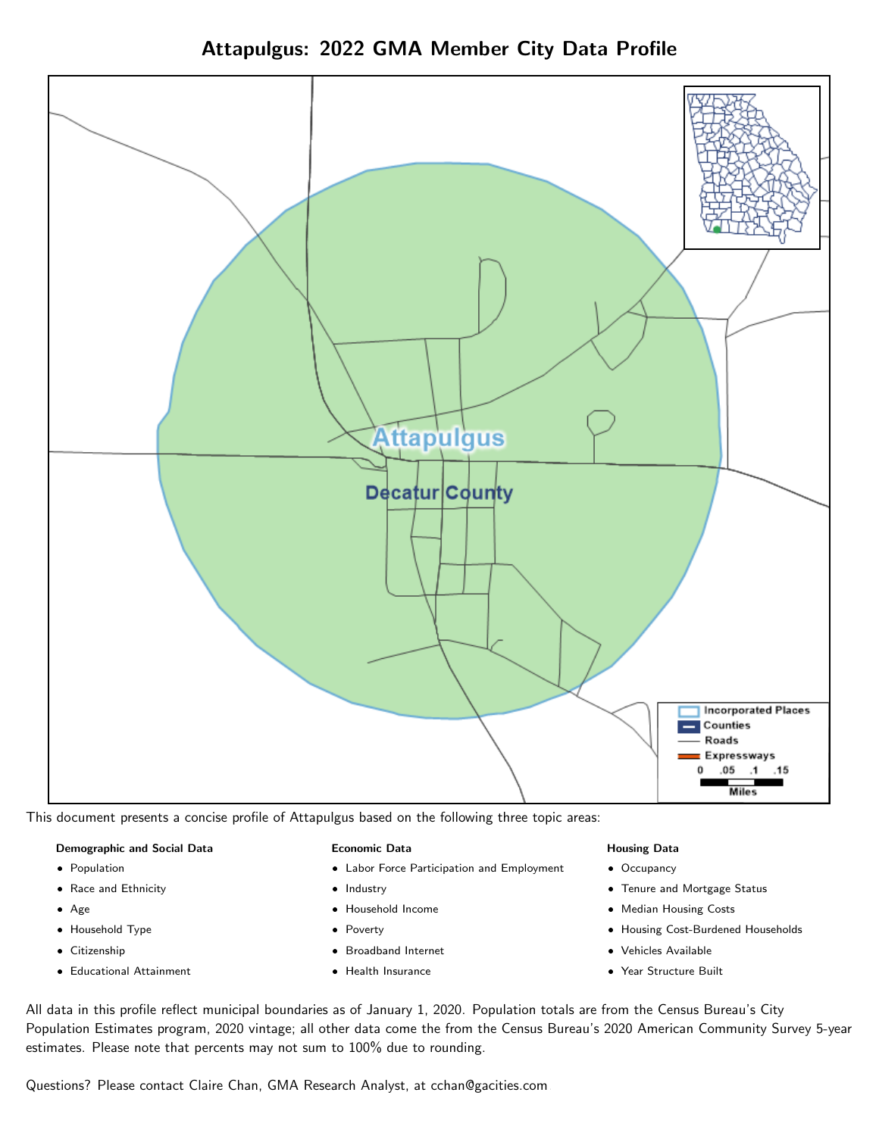



This document presents a concise profile of Attapulgus based on the following three topic areas:

#### Demographic and Social Data

- **•** Population
- Race and Ethnicity
- Age
- Household Type
- **Citizenship**
- Educational Attainment

#### Economic Data

- Labor Force Participation and Employment
- Industry
- Household Income
- Poverty
- Broadband Internet
- Health Insurance

#### Housing Data

- Occupancy
- Tenure and Mortgage Status
- Median Housing Costs
- Housing Cost-Burdened Households
- Vehicles Available
- Year Structure Built

All data in this profile reflect municipal boundaries as of January 1, 2020. Population totals are from the Census Bureau's City Population Estimates program, 2020 vintage; all other data come the from the Census Bureau's 2020 American Community Survey 5-year estimates. Please note that percents may not sum to 100% due to rounding.

Questions? Please contact Claire Chan, GMA Research Analyst, at [cchan@gacities.com.](mailto:cchan@gacities.com)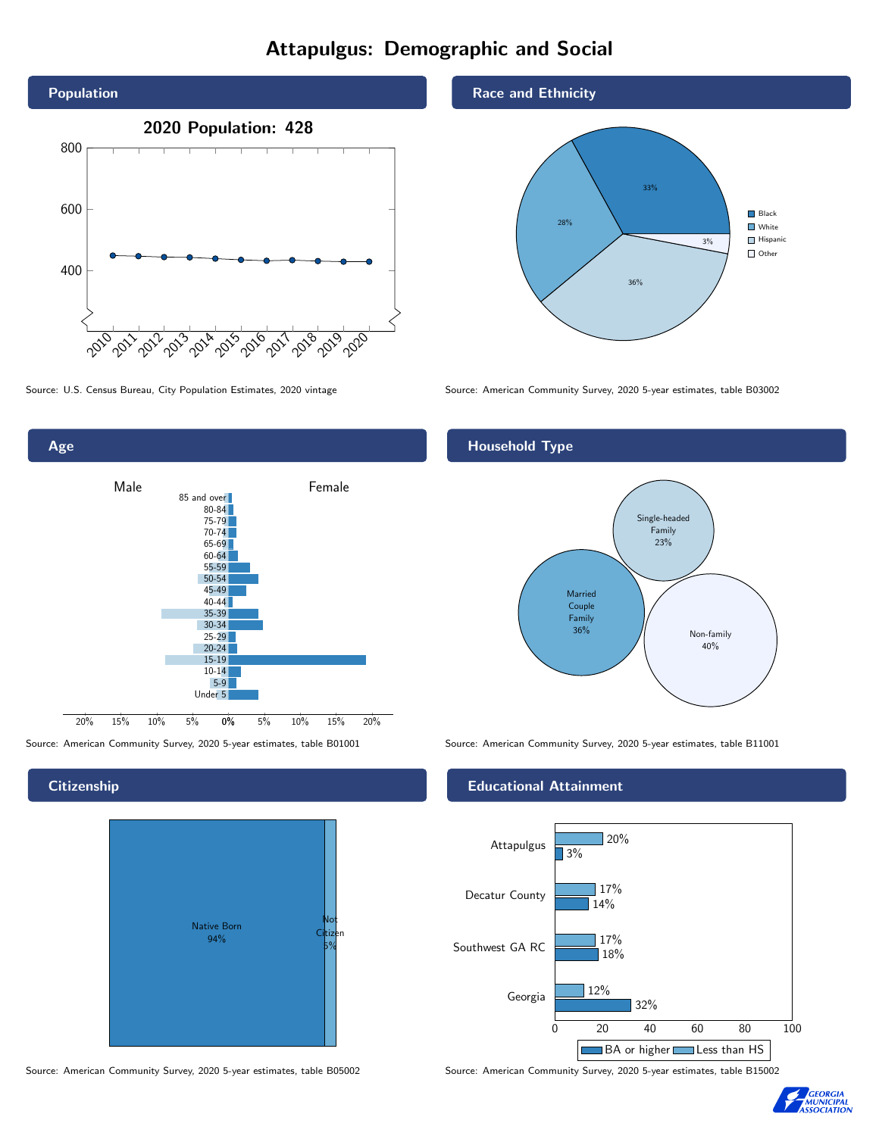# Attapulgus: Demographic and Social





# **Citizenship**



Source: American Community Survey, 2020 5-year estimates, table B05002 Source: American Community Survey, 2020 5-year estimates, table B15002

### Race and Ethnicity



Source: U.S. Census Bureau, City Population Estimates, 2020 vintage Source: American Community Survey, 2020 5-year estimates, table B03002

## Household Type



Source: American Community Survey, 2020 5-year estimates, table B01001 Source: American Community Survey, 2020 5-year estimates, table B11001

### Educational Attainment



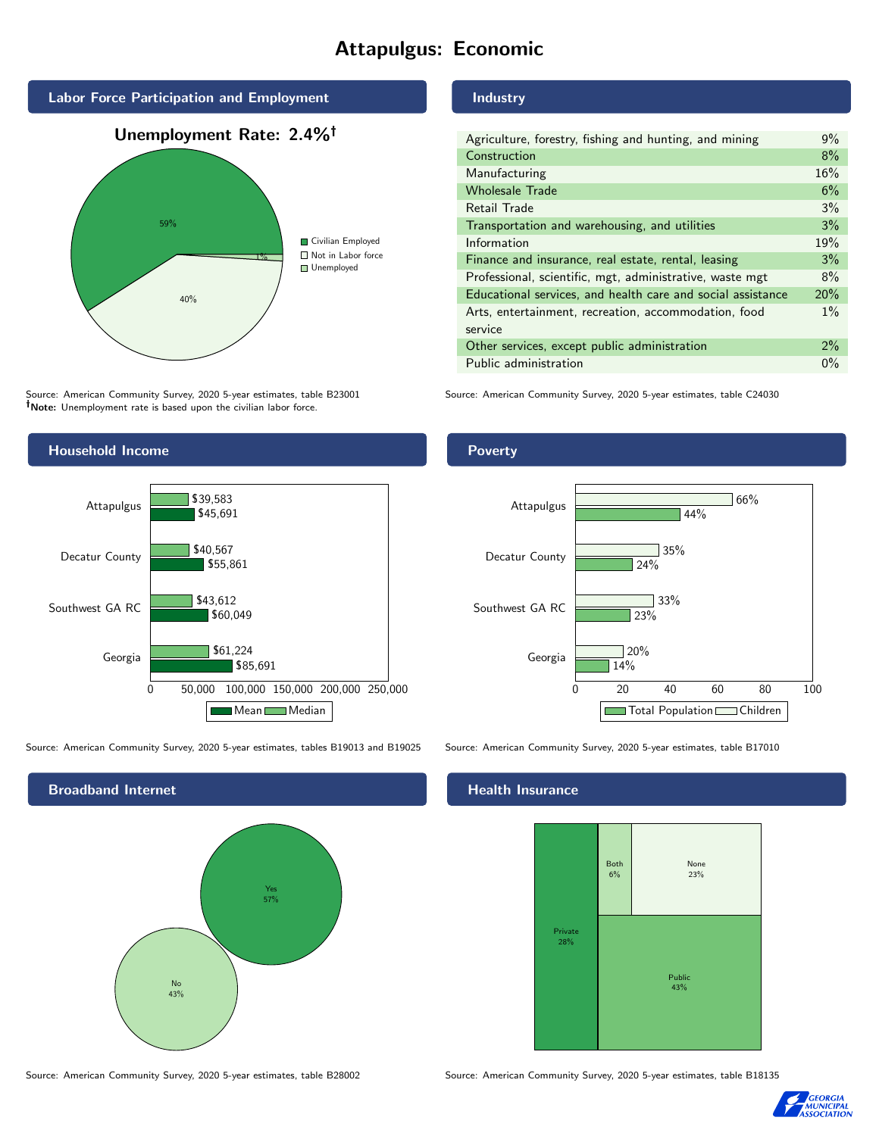# Attapulgus: Economic



Source: American Community Survey, 2020 5-year estimates, table B23001 Note: Unemployment rate is based upon the civilian labor force.

### Industry

| Agriculture, forestry, fishing and hunting, and mining      | 9%    |
|-------------------------------------------------------------|-------|
| Construction                                                | 8%    |
| Manufacturing                                               | 16%   |
| <b>Wholesale Trade</b>                                      | 6%    |
| Retail Trade                                                | 3%    |
| Transportation and warehousing, and utilities               | 3%    |
| Information                                                 | 19%   |
| Finance and insurance, real estate, rental, leasing         | 3%    |
| Professional, scientific, mgt, administrative, waste mgt    | 8%    |
| Educational services, and health care and social assistance | 20%   |
| Arts, entertainment, recreation, accommodation, food        | $1\%$ |
| service                                                     |       |
| Other services, except public administration                | 2%    |
| Public administration                                       | $0\%$ |
|                                                             |       |

Source: American Community Survey, 2020 5-year estimates, table C24030



Source: American Community Survey, 2020 5-year estimates, tables B19013 and B19025 Source: American Community Survey, 2020 5-year estimates, table B17010

Broadband Internet No 43% Yes 57%

#### Health Insurance



Source: American Community Survey, 2020 5-year estimates, table B28002 Source: American Community Survey, 2020 5-year estimates, table B18135



### Poverty